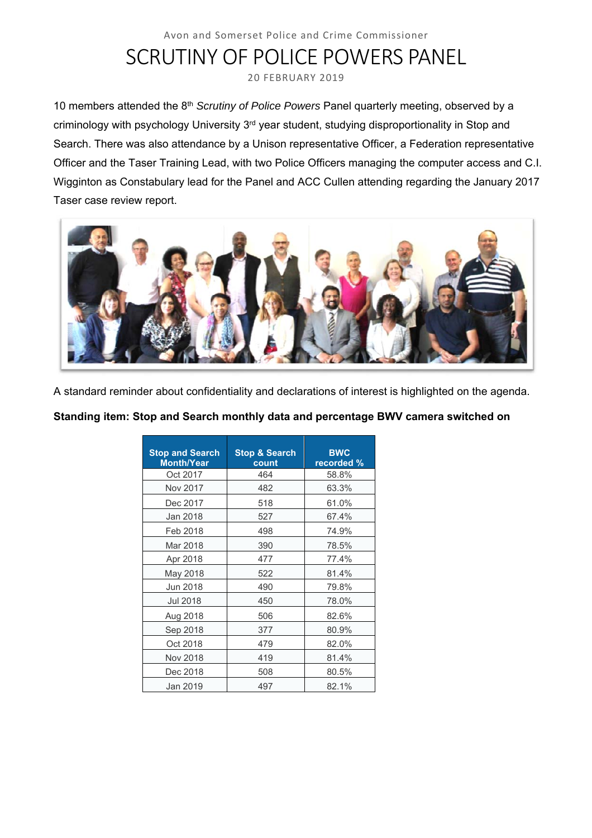# Avon and Somerset Police and Crime Commissioner SCRUTINY OF POLICE POWERS PANEL

20 FEBRUARY 2019

10 members attended the 8th *Scrutiny of Police Powers* Panel quarterly meeting, observed by a criminology with psychology University 3<sup>rd</sup> year student, studying disproportionality in Stop and Search. There was also attendance by a Unison representative Officer, a Federation representative Officer and the Taser Training Lead, with two Police Officers managing the computer access and C.I. Wigginton as Constabulary lead for the Panel and ACC Cullen attending regarding the January 2017 Taser case review report.



A standard reminder about confidentiality and declarations of interest is highlighted on the agenda.

**Standing item: Stop and Search monthly data and percentage BWV camera switched on** 

| <b>Stop and Search</b><br><b>Month/Year</b> | <b>Stop &amp; Search</b><br>count | <b>BWC</b><br>recorded % |
|---------------------------------------------|-----------------------------------|--------------------------|
| Oct 2017                                    | 464                               | 58.8%                    |
| Nov 2017                                    | 482                               | 63.3%                    |
| Dec 2017                                    | 518                               | 61.0%                    |
| Jan 2018                                    | 527                               | 67.4%                    |
| Feb 2018                                    | 498                               | 74.9%                    |
| Mar 2018                                    | 390                               | 78.5%                    |
| Apr 2018                                    | 477                               | 77.4%                    |
| May 2018                                    | 522                               | 81.4%                    |
| Jun 2018                                    | 490                               | 79.8%                    |
| Jul 2018                                    | 450                               | 78.0%                    |
| Aug 2018                                    | 506                               | 82.6%                    |
| Sep 2018                                    | 377                               | 80.9%                    |
| Oct 2018                                    | 479                               | 82.0%                    |
| Nov 2018                                    | 419                               | 81.4%                    |
| Dec 2018                                    | 508                               | 80.5%                    |
| Jan 2019                                    | 497                               | $82.1\%$                 |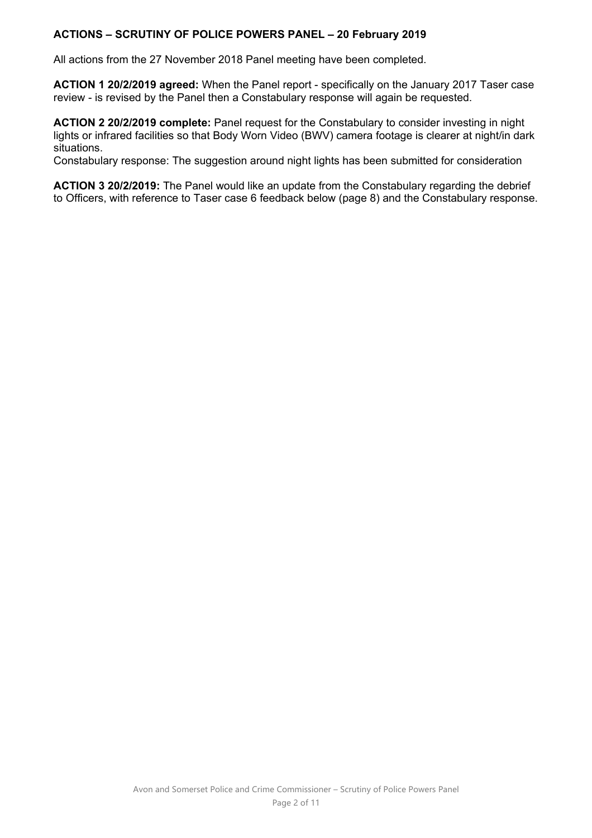## **ACTIONS – SCRUTINY OF POLICE POWERS PANEL – 20 February 2019**

All actions from the 27 November 2018 Panel meeting have been completed.

**ACTION 1 20/2/2019 agreed:** When the Panel report - specifically on the January 2017 Taser case review - is revised by the Panel then a Constabulary response will again be requested.

**ACTION 2 20/2/2019 complete:** Panel request for the Constabulary to consider investing in night lights or infrared facilities so that Body Worn Video (BWV) camera footage is clearer at night/in dark situations.

Constabulary response: The suggestion around night lights has been submitted for consideration

**ACTION 3 20/2/2019:** The Panel would like an update from the Constabulary regarding the debrief to Officers, with reference to Taser case 6 feedback below (page 8) and the Constabulary response.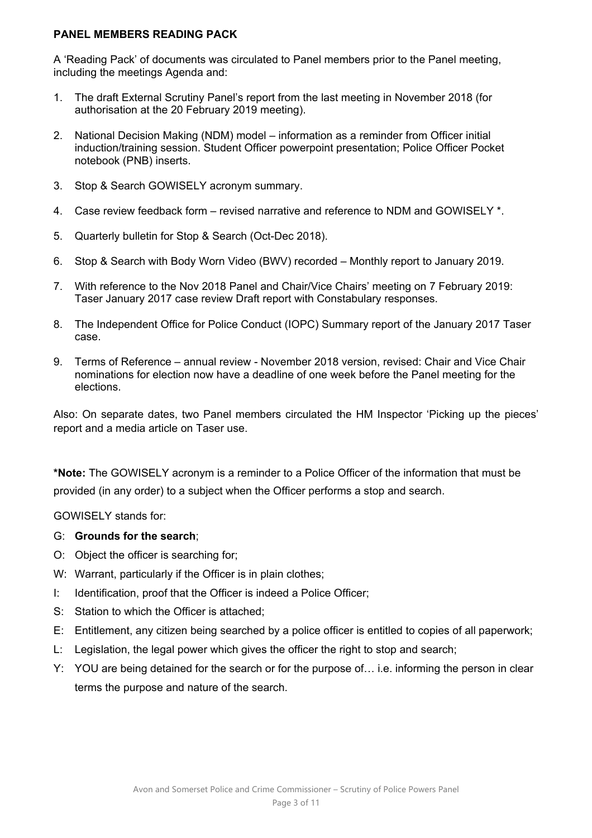### **PANEL MEMBERS READING PACK**

A 'Reading Pack' of documents was circulated to Panel members prior to the Panel meeting, including the meetings Agenda and:

- 1. The draft External Scrutiny Panel's report from the last meeting in November 2018 (for authorisation at the 20 February 2019 meeting).
- 2. National Decision Making (NDM) model information as a reminder from Officer initial induction/training session. Student Officer powerpoint presentation; Police Officer Pocket notebook (PNB) inserts.
- 3. Stop & Search GOWISELY acronym summary.
- 4. Case review feedback form revised narrative and reference to NDM and GOWISELY \*.
- 5. Quarterly bulletin for Stop & Search (Oct-Dec 2018).
- 6. Stop & Search with Body Worn Video (BWV) recorded Monthly report to January 2019.
- 7. With reference to the Nov 2018 Panel and Chair/Vice Chairs' meeting on 7 February 2019: Taser January 2017 case review Draft report with Constabulary responses.
- 8. The Independent Office for Police Conduct (IOPC) Summary report of the January 2017 Taser case.
- 9. Terms of Reference annual review November 2018 version, revised: Chair and Vice Chair nominations for election now have a deadline of one week before the Panel meeting for the elections.

Also: On separate dates, two Panel members circulated the HM Inspector 'Picking up the pieces' report and a media article on Taser use.

**\*Note:** The GOWISELY acronym is a reminder to a Police Officer of the information that must be provided (in any order) to a subject when the Officer performs a stop and search.

GOWISELY stands for:

### G: **Grounds for the search**;

- O: Object the officer is searching for;
- W: Warrant, particularly if the Officer is in plain clothes:
- I: Identification, proof that the Officer is indeed a Police Officer;
- S: Station to which the Officer is attached;
- E: Entitlement, any citizen being searched by a police officer is entitled to copies of all paperwork;
- L: Legislation, the legal power which gives the officer the right to stop and search;
- Y: YOU are being detained for the search or for the purpose of… i.e. informing the person in clear terms the purpose and nature of the search.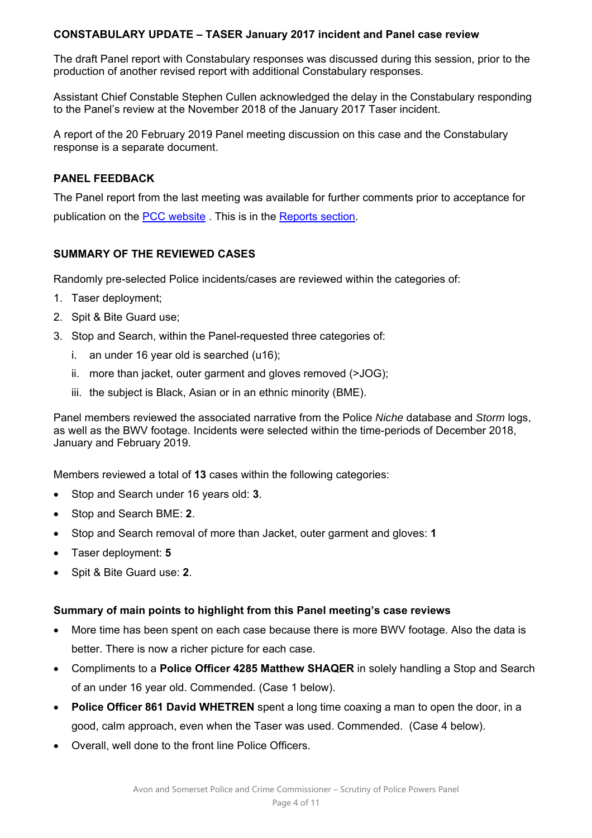## **CONSTABULARY UPDATE – TASER January 2017 incident and Panel case review**

The draft Panel report with Constabulary responses was discussed during this session, prior to the production of another revised report with additional Constabulary responses.

Assistant Chief Constable Stephen Cullen acknowledged the delay in the Constabulary responding to the Panel's review at the November 2018 of the January 2017 Taser incident.

A report of the 20 February 2019 Panel meeting discussion on this case and the Constabulary response is a separate document.

## **PANEL FEEDBACK**

The Panel report from the last meeting was available for further comments prior to acceptance for publication on the PCC website . This is in the Reports section.

## **SUMMARY OF THE REVIEWED CASES**

Randomly pre-selected Police incidents/cases are reviewed within the categories of:

- 1. Taser deployment;
- 2. Spit & Bite Guard use;
- 3. Stop and Search, within the Panel-requested three categories of:
	- i. an under 16 year old is searched (u16);
	- ii. more than jacket, outer garment and gloves removed (>JOG);
	- iii. the subject is Black, Asian or in an ethnic minority (BME).

Panel members reviewed the associated narrative from the Police *Niche* database and *Storm* logs, as well as the BWV footage. Incidents were selected within the time-periods of December 2018, January and February 2019.

Members reviewed a total of **13** cases within the following categories:

- Stop and Search under 16 years old: **3**.
- Stop and Search BME: **2**.
- Stop and Search removal of more than Jacket, outer garment and gloves: **1**
- Taser deployment: **5**
- Spit & Bite Guard use: **2**.

### **Summary of main points to highlight from this Panel meeting's case reviews**

- More time has been spent on each case because there is more BWV footage. Also the data is better. There is now a richer picture for each case.
- Compliments to a **Police Officer 4285 Matthew SHAQER** in solely handling a Stop and Search of an under 16 year old. Commended. (Case 1 below).
- **Police Officer 861 David WHETREN** spent a long time coaxing a man to open the door, in a good, calm approach, even when the Taser was used. Commended. (Case 4 below).
- Overall, well done to the front line Police Officers.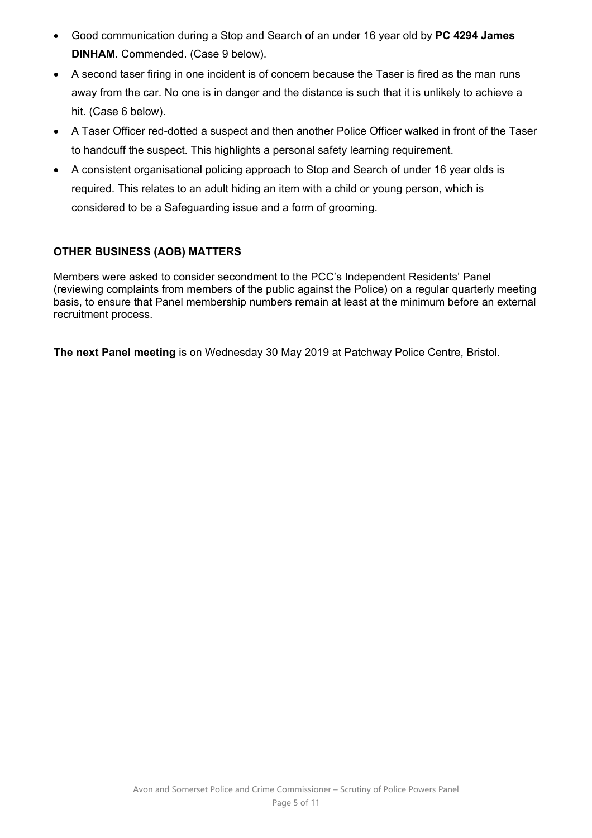- Good communication during a Stop and Search of an under 16 year old by **PC 4294 James DINHAM**. Commended. (Case 9 below).
- A second taser firing in one incident is of concern because the Taser is fired as the man runs away from the car. No one is in danger and the distance is such that it is unlikely to achieve a hit. (Case 6 below).
- A Taser Officer red-dotted a suspect and then another Police Officer walked in front of the Taser to handcuff the suspect. This highlights a personal safety learning requirement.
- A consistent organisational policing approach to Stop and Search of under 16 year olds is required. This relates to an adult hiding an item with a child or young person, which is considered to be a Safeguarding issue and a form of grooming.

# **OTHER BUSINESS (AOB) MATTERS**

Members were asked to consider secondment to the PCC's Independent Residents' Panel (reviewing complaints from members of the public against the Police) on a regular quarterly meeting basis, to ensure that Panel membership numbers remain at least at the minimum before an external recruitment process.

**The next Panel meeting** is on Wednesday 30 May 2019 at Patchway Police Centre, Bristol.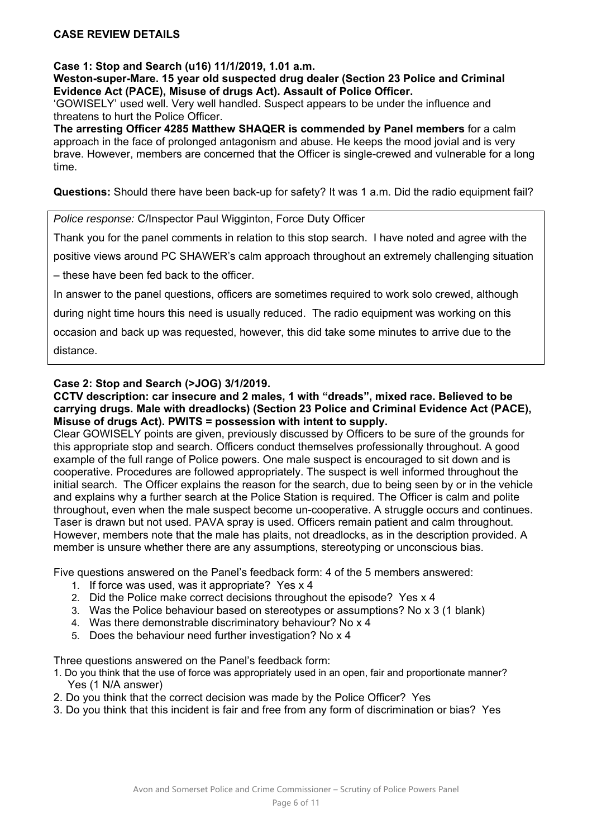#### **CASE REVIEW DETAILS**

**Case 1: Stop and Search (u16) 11/1/2019, 1.01 a.m.** 

**Weston-super-Mare. 15 year old suspected drug dealer (Section 23 Police and Criminal Evidence Act (PACE), Misuse of drugs Act). Assault of Police Officer.** 

'GOWISELY' used well. Very well handled. Suspect appears to be under the influence and threatens to hurt the Police Officer.

**The arresting Officer 4285 Matthew SHAQER is commended by Panel members** for a calm approach in the face of prolonged antagonism and abuse. He keeps the mood jovial and is very brave. However, members are concerned that the Officer is single-crewed and vulnerable for a long time.

**Questions:** Should there have been back-up for safety? It was 1 a.m. Did the radio equipment fail?

*Police response:* C/Inspector Paul Wigginton, Force Duty Officer

Thank you for the panel comments in relation to this stop search. I have noted and agree with the

positive views around PC SHAWER's calm approach throughout an extremely challenging situation

– these have been fed back to the officer.

In answer to the panel questions, officers are sometimes required to work solo crewed, although

during night time hours this need is usually reduced. The radio equipment was working on this

occasion and back up was requested, however, this did take some minutes to arrive due to the distance.

#### **Case 2: Stop and Search (>JOG) 3/1/2019.**

**CCTV description: car insecure and 2 males, 1 with "dreads", mixed race. Believed to be carrying drugs. Male with dreadlocks) (Section 23 Police and Criminal Evidence Act (PACE), Misuse of drugs Act). PWITS = possession with intent to supply.**

Clear GOWISELY points are given, previously discussed by Officers to be sure of the grounds for this appropriate stop and search. Officers conduct themselves professionally throughout. A good example of the full range of Police powers. One male suspect is encouraged to sit down and is cooperative. Procedures are followed appropriately. The suspect is well informed throughout the initial search. The Officer explains the reason for the search, due to being seen by or in the vehicle and explains why a further search at the Police Station is required. The Officer is calm and polite throughout, even when the male suspect become un-cooperative. A struggle occurs and continues. Taser is drawn but not used. PAVA spray is used. Officers remain patient and calm throughout. However, members note that the male has plaits, not dreadlocks, as in the description provided. A member is unsure whether there are any assumptions, stereotyping or unconscious bias.

Five questions answered on the Panel's feedback form: 4 of the 5 members answered:

- 1. If force was used, was it appropriate? Yes x 4
- 2. Did the Police make correct decisions throughout the episode? Yes x 4
- 3. Was the Police behaviour based on stereotypes or assumptions? No x 3 (1 blank)
- 4. Was there demonstrable discriminatory behaviour? No x 4
- 5. Does the behaviour need further investigation? No x 4

Three questions answered on the Panel's feedback form:

- 1. Do you think that the use of force was appropriately used in an open, fair and proportionate manner? Yes (1 N/A answer)
- 2. Do you think that the correct decision was made by the Police Officer? Yes
- 3. Do you think that this incident is fair and free from any form of discrimination or bias? Yes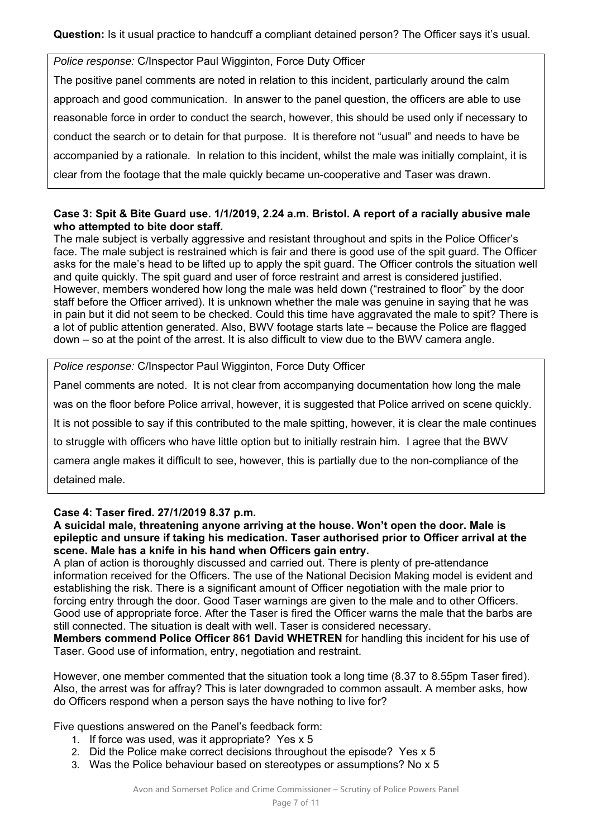**Question:** Is it usual practice to handcuff a compliant detained person? The Officer says it's usual.

*Police response:* C/Inspector Paul Wigginton, Force Duty Officer

The positive panel comments are noted in relation to this incident, particularly around the calm approach and good communication. In answer to the panel question, the officers are able to use reasonable force in order to conduct the search, however, this should be used only if necessary to conduct the search or to detain for that purpose. It is therefore not "usual" and needs to have be accompanied by a rationale. In relation to this incident, whilst the male was initially complaint, it is clear from the footage that the male quickly became un-cooperative and Taser was drawn.

## **Case 3: Spit & Bite Guard use. 1/1/2019, 2.24 a.m. Bristol. A report of a racially abusive male who attempted to bite door staff.**

The male subject is verbally aggressive and resistant throughout and spits in the Police Officer's face. The male subject is restrained which is fair and there is good use of the spit guard. The Officer asks for the male's head to be lifted up to apply the spit guard. The Officer controls the situation well and quite quickly. The spit guard and user of force restraint and arrest is considered justified. However, members wondered how long the male was held down ("restrained to floor" by the door staff before the Officer arrived). It is unknown whether the male was genuine in saying that he was in pain but it did not seem to be checked. Could this time have aggravated the male to spit? There is a lot of public attention generated. Also, BWV footage starts late – because the Police are flagged down – so at the point of the arrest. It is also difficult to view due to the BWV camera angle.

*Police response:* C/Inspector Paul Wigginton, Force Duty Officer

Panel comments are noted. It is not clear from accompanying documentation how long the male was on the floor before Police arrival, however, it is suggested that Police arrived on scene quickly. It is not possible to say if this contributed to the male spitting, however, it is clear the male continues to struggle with officers who have little option but to initially restrain him. I agree that the BWV camera angle makes it difficult to see, however, this is partially due to the non-compliance of the detained male.

### **Case 4: Taser fired. 27/1/2019 8.37 p.m.**

### **A suicidal male, threatening anyone arriving at the house. Won't open the door. Male is epileptic and unsure if taking his medication. Taser authorised prior to Officer arrival at the scene. Male has a knife in his hand when Officers gain entry.**

A plan of action is thoroughly discussed and carried out. There is plenty of pre-attendance information received for the Officers. The use of the National Decision Making model is evident and establishing the risk. There is a significant amount of Officer negotiation with the male prior to forcing entry through the door. Good Taser warnings are given to the male and to other Officers. Good use of appropriate force. After the Taser is fired the Officer warns the male that the barbs are still connected. The situation is dealt with well. Taser is considered necessary.

**Members commend Police Officer 861 David WHETREN** for handling this incident for his use of Taser. Good use of information, entry, negotiation and restraint.

However, one member commented that the situation took a long time (8.37 to 8.55pm Taser fired). Also, the arrest was for affray? This is later downgraded to common assault. A member asks, how do Officers respond when a person says the have nothing to live for?

Five questions answered on the Panel's feedback form:

- 1. If force was used, was it appropriate? Yes x 5
- 2. Did the Police make correct decisions throughout the episode? Yes x 5
- 3. Was the Police behaviour based on stereotypes or assumptions? No x 5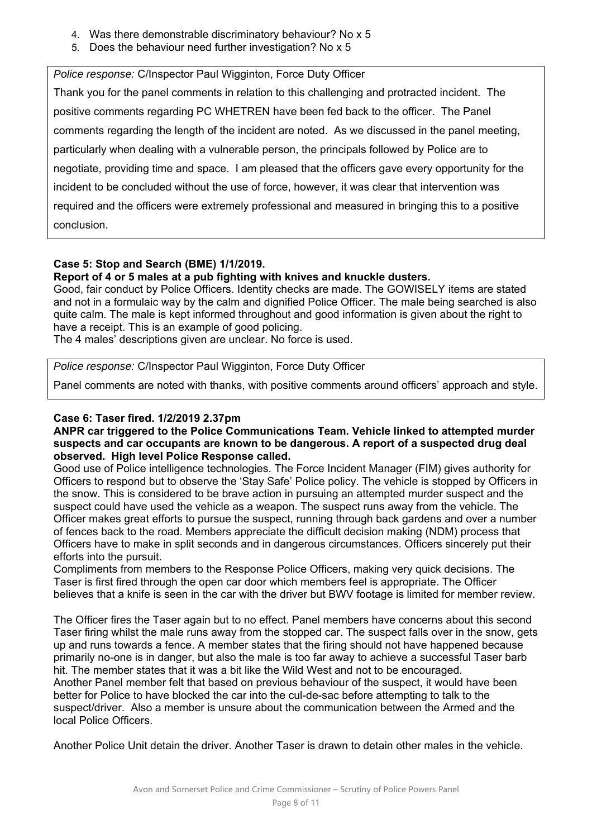- 4. Was there demonstrable discriminatory behaviour? No x 5
- 5. Does the behaviour need further investigation? No x 5

*Police response:* C/Inspector Paul Wigginton, Force Duty Officer

Thank you for the panel comments in relation to this challenging and protracted incident. The positive comments regarding PC WHETREN have been fed back to the officer. The Panel comments regarding the length of the incident are noted. As we discussed in the panel meeting, particularly when dealing with a vulnerable person, the principals followed by Police are to negotiate, providing time and space. I am pleased that the officers gave every opportunity for the incident to be concluded without the use of force, however, it was clear that intervention was required and the officers were extremely professional and measured in bringing this to a positive conclusion.

## **Case 5: Stop and Search (BME) 1/1/2019.**

**Report of 4 or 5 males at a pub fighting with knives and knuckle dusters.** 

Good, fair conduct by Police Officers. Identity checks are made. The GOWISELY items are stated and not in a formulaic way by the calm and dignified Police Officer. The male being searched is also quite calm. The male is kept informed throughout and good information is given about the right to have a receipt. This is an example of good policing.

The 4 males' descriptions given are unclear. No force is used.

*Police response:* C/Inspector Paul Wigginton, Force Duty Officer

Panel comments are noted with thanks, with positive comments around officers' approach and style.

## **Case 6: Taser fired. 1/2/2019 2.37pm**

#### **ANPR car triggered to the Police Communications Team. Vehicle linked to attempted murder suspects and car occupants are known to be dangerous. A report of a suspected drug deal observed. High level Police Response called.**

Good use of Police intelligence technologies. The Force Incident Manager (FIM) gives authority for Officers to respond but to observe the 'Stay Safe' Police policy. The vehicle is stopped by Officers in the snow. This is considered to be brave action in pursuing an attempted murder suspect and the suspect could have used the vehicle as a weapon. The suspect runs away from the vehicle. The Officer makes great efforts to pursue the suspect, running through back gardens and over a number of fences back to the road. Members appreciate the difficult decision making (NDM) process that Officers have to make in split seconds and in dangerous circumstances. Officers sincerely put their efforts into the pursuit.

Compliments from members to the Response Police Officers, making very quick decisions. The Taser is first fired through the open car door which members feel is appropriate. The Officer believes that a knife is seen in the car with the driver but BWV footage is limited for member review.

The Officer fires the Taser again but to no effect. Panel members have concerns about this second Taser firing whilst the male runs away from the stopped car. The suspect falls over in the snow, gets up and runs towards a fence. A member states that the firing should not have happened because primarily no-one is in danger, but also the male is too far away to achieve a successful Taser barb hit. The member states that it was a bit like the Wild West and not to be encouraged. Another Panel member felt that based on previous behaviour of the suspect, it would have been better for Police to have blocked the car into the cul-de-sac before attempting to talk to the suspect/driver. Also a member is unsure about the communication between the Armed and the local Police Officers.

Another Police Unit detain the driver. Another Taser is drawn to detain other males in the vehicle.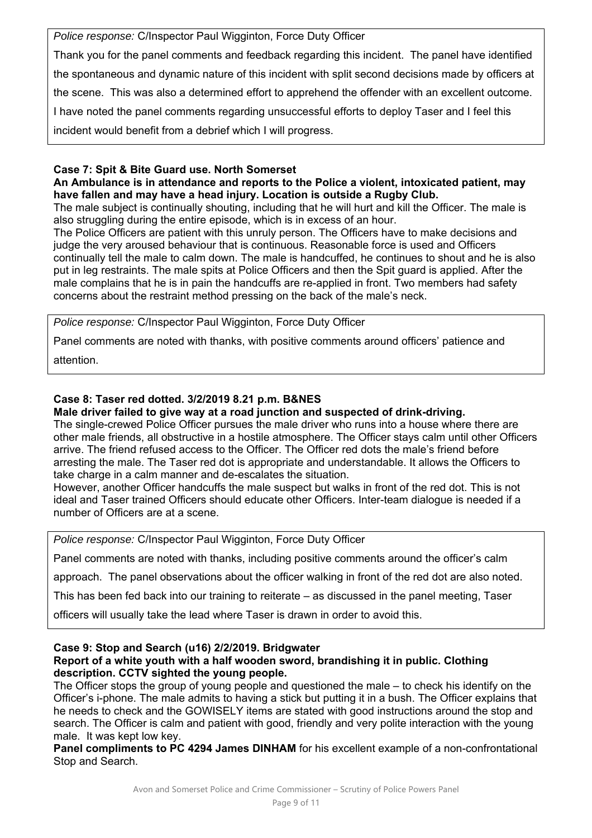*Police response:* C/Inspector Paul Wigginton, Force Duty Officer

Thank you for the panel comments and feedback regarding this incident. The panel have identified the spontaneous and dynamic nature of this incident with split second decisions made by officers at the scene. This was also a determined effort to apprehend the offender with an excellent outcome. I have noted the panel comments regarding unsuccessful efforts to deploy Taser and I feel this incident would benefit from a debrief which I will progress.

### **Case 7: Spit & Bite Guard use. North Somerset**

**An Ambulance is in attendance and reports to the Police a violent, intoxicated patient, may have fallen and may have a head injury. Location is outside a Rugby Club.** 

The male subject is continually shouting, including that he will hurt and kill the Officer. The male is also struggling during the entire episode, which is in excess of an hour.

The Police Officers are patient with this unruly person. The Officers have to make decisions and judge the very aroused behaviour that is continuous. Reasonable force is used and Officers continually tell the male to calm down. The male is handcuffed, he continues to shout and he is also put in leg restraints. The male spits at Police Officers and then the Spit guard is applied. After the male complains that he is in pain the handcuffs are re-applied in front. Two members had safety concerns about the restraint method pressing on the back of the male's neck.

*Police response:* C/Inspector Paul Wigginton, Force Duty Officer

Panel comments are noted with thanks, with positive comments around officers' patience and

attention.

# **Case 8: Taser red dotted. 3/2/2019 8.21 p.m. B&NES**

**Male driver failed to give way at a road junction and suspected of drink-driving.** 

The single-crewed Police Officer pursues the male driver who runs into a house where there are other male friends, all obstructive in a hostile atmosphere. The Officer stays calm until other Officers arrive. The friend refused access to the Officer. The Officer red dots the male's friend before arresting the male. The Taser red dot is appropriate and understandable. It allows the Officers to take charge in a calm manner and de-escalates the situation.

However, another Officer handcuffs the male suspect but walks in front of the red dot. This is not ideal and Taser trained Officers should educate other Officers. Inter-team dialogue is needed if a number of Officers are at a scene.

*Police response:* C/Inspector Paul Wigginton, Force Duty Officer

Panel comments are noted with thanks, including positive comments around the officer's calm

approach. The panel observations about the officer walking in front of the red dot are also noted.

This has been fed back into our training to reiterate – as discussed in the panel meeting, Taser

officers will usually take the lead where Taser is drawn in order to avoid this.

#### **Case 9: Stop and Search (u16) 2/2/2019. Bridgwater Report of a white youth with a half wooden sword, brandishing it in public. Clothing description. CCTV sighted the young people.**

The Officer stops the group of young people and questioned the male – to check his identify on the Officer's i-phone. The male admits to having a stick but putting it in a bush. The Officer explains that he needs to check and the GOWISELY items are stated with good instructions around the stop and search. The Officer is calm and patient with good, friendly and very polite interaction with the young male. It was kept low key.

**Panel compliments to PC 4294 James DINHAM** for his excellent example of a non-confrontational Stop and Search.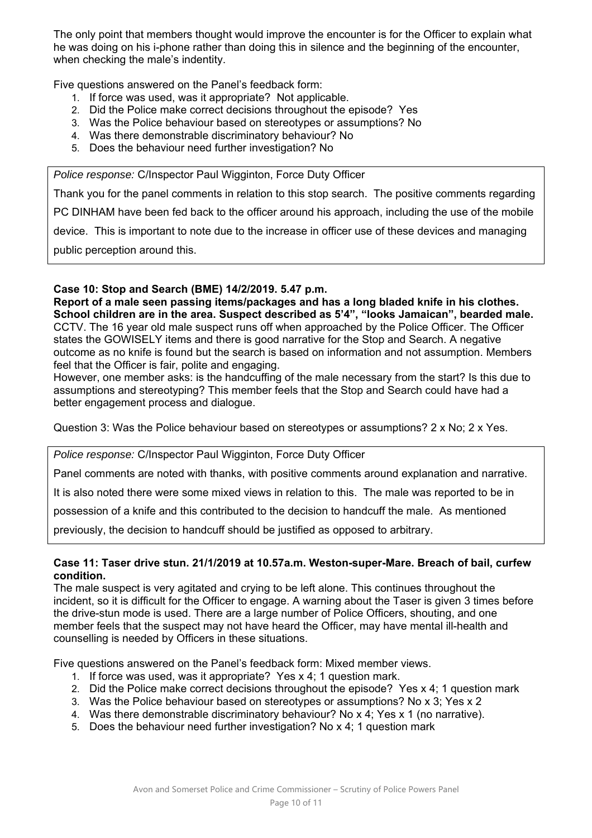The only point that members thought would improve the encounter is for the Officer to explain what he was doing on his i-phone rather than doing this in silence and the beginning of the encounter, when checking the male's indentity.

Five questions answered on the Panel's feedback form:

- 1. If force was used, was it appropriate? Not applicable.
- 2. Did the Police make correct decisions throughout the episode? Yes
- 3. Was the Police behaviour based on stereotypes or assumptions? No
- 4. Was there demonstrable discriminatory behaviour? No
- 5. Does the behaviour need further investigation? No

*Police response:* C/Inspector Paul Wigginton, Force Duty Officer

Thank you for the panel comments in relation to this stop search. The positive comments regarding

PC DINHAM have been fed back to the officer around his approach, including the use of the mobile

device. This is important to note due to the increase in officer use of these devices and managing

public perception around this.

## **Case 10: Stop and Search (BME) 14/2/2019. 5.47 p.m.**

**Report of a male seen passing items/packages and has a long bladed knife in his clothes. School children are in the area. Suspect described as 5'4", "looks Jamaican", bearded male.**  CCTV. The 16 year old male suspect runs off when approached by the Police Officer. The Officer states the GOWISELY items and there is good narrative for the Stop and Search. A negative outcome as no knife is found but the search is based on information and not assumption. Members feel that the Officer is fair, polite and engaging.

However, one member asks: is the handcuffing of the male necessary from the start? Is this due to assumptions and stereotyping? This member feels that the Stop and Search could have had a better engagement process and dialogue.

Question 3: Was the Police behaviour based on stereotypes or assumptions? 2 x No; 2 x Yes.

*Police response:* C/Inspector Paul Wigginton, Force Duty Officer

Panel comments are noted with thanks, with positive comments around explanation and narrative.

It is also noted there were some mixed views in relation to this. The male was reported to be in

possession of a knife and this contributed to the decision to handcuff the male. As mentioned

previously, the decision to handcuff should be justified as opposed to arbitrary.

### **Case 11: Taser drive stun. 21/1/2019 at 10.57a.m. Weston-super-Mare. Breach of bail, curfew condition.**

The male suspect is very agitated and crying to be left alone. This continues throughout the incident, so it is difficult for the Officer to engage. A warning about the Taser is given 3 times before the drive-stun mode is used. There are a large number of Police Officers, shouting, and one member feels that the suspect may not have heard the Officer, may have mental ill-health and counselling is needed by Officers in these situations.

Five questions answered on the Panel's feedback form: Mixed member views.

- 1. If force was used, was it appropriate? Yes x 4; 1 question mark.
- 2. Did the Police make correct decisions throughout the episode? Yes x 4; 1 question mark
- 3. Was the Police behaviour based on stereotypes or assumptions? No x 3; Yes x 2
- 4. Was there demonstrable discriminatory behaviour? No x 4; Yes x 1 (no narrative).
- 5. Does the behaviour need further investigation? No x 4; 1 question mark